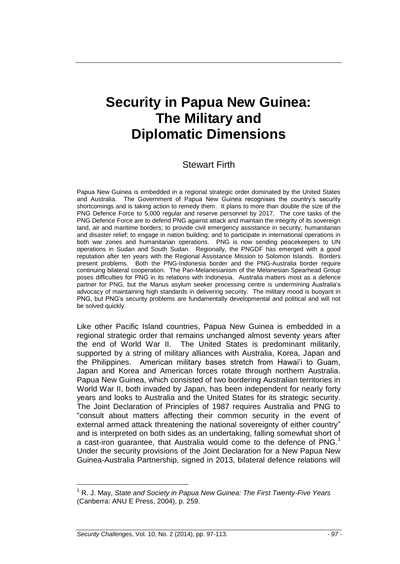# **Security in Papua New Guinea: The Military and Diplomatic Dimensions**

## Stewart Firth

Papua New Guinea is embedded in a regional strategic order dominated by the United States and Australia. The Government of Papua New Guinea recognises the country's security shortcomings and is taking action to remedy them. It plans to more than double the size of the PNG Defence Force to 5,000 regular and reserve personnel by 2017. The core tasks of the PNG Defence Force are to defend PNG against attack and maintain the integrity of its sovereign land, air and maritime borders; to provide civil emergency assistance in security, humanitarian and disaster relief; to engage in nation building; and to participate in international operations in both war zones and humanitarian operations. PNG is now sending peacekeepers to UN operations in Sudan and South Sudan. Regionally, the PNGDF has emerged with a good reputation after ten years with the Regional Assistance Mission to Solomon Islands. Borders present problems. Both the PNG-Indonesia border and the PNG-Australia border require continuing bilateral cooperation. The Pan-Melanesianism of the Melanesian Spearhead Group poses difficulties for PNG in its relations with Indonesia. Australia matters most as a defence partner for PNG, but the Manus asylum seeker processing centre is undermining Australia's advocacy of maintaining high standards in delivering security. The military mood is buoyant in PNG, but PNG's security problems are fundamentally developmental and political and will not be solved quickly.

Like other Pacific Island countries, Papua New Guinea is embedded in a regional strategic order that remains unchanged almost seventy years after the end of World War II. The United States is predominant militarily, supported by a string of military alliances with Australia, Korea, Japan and the Philippines. American military bases stretch from Hawai'i to Guam, Japan and Korea and American forces rotate through northern Australia. Papua New Guinea, which consisted of two bordering Australian territories in World War II, both invaded by Japan, has been independent for nearly forty years and looks to Australia and the United States for its strategic security. The Joint Declaration of Principles of 1987 requires Australia and PNG to "consult about matters affecting their common security in the event of external armed attack threatening the national sovereignty of either country" and is interpreted on both sides as an undertaking, falling somewhat short of a cast-iron guarantee, that Australia would come to the defence of  $PNG<sup>1</sup>$ Under the security provisions of the Joint Declaration for a New Papua New Guinea-Australia Partnership, signed in 2013, bilateral defence relations will

<sup>1</sup> R. J. May, *State and Society in Papua New Guinea: The First Twenty-Five Years* (Canberra: ANU E Press, 2004), p. 259.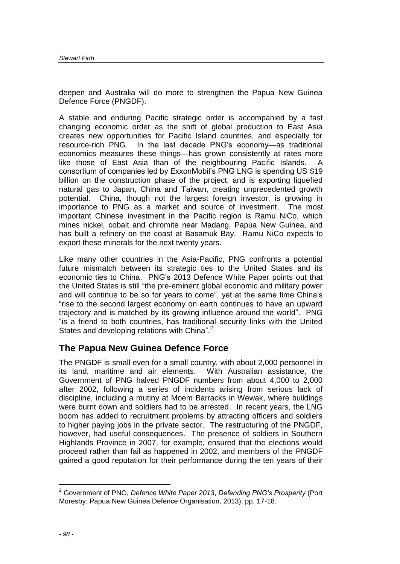deepen and Australia will do more to strengthen the Papua New Guinea Defence Force (PNGDF).

A stable and enduring Pacific strategic order is accompanied by a fast changing economic order as the shift of global production to East Asia creates new opportunities for Pacific Island countries, and especially for resource-rich PNG. In the last decade PNG's economy—as traditional economics measures these things—has grown consistently at rates more like those of East Asia than of the neighbouring Pacific Islands. A consortium of companies led by ExxonMobil's PNG LNG is spending US \$19 billion on the construction phase of the project, and is exporting liquefied natural gas to Japan, China and Taiwan, creating unprecedented growth potential. China, though not the largest foreign investor, is growing in importance to PNG as a market and source of investment. The most important Chinese investment in the Pacific region is Ramu NiCo, which mines nickel, cobalt and chromite near Madang, Papua New Guinea, and has built a refinery on the coast at Basamuk Bay. Ramu NiCo expects to export these minerals for the next twenty years.

Like many other countries in the Asia-Pacific, PNG confronts a potential future mismatch between its strategic ties to the United States and its economic ties to China. PNG's 2013 Defence White Paper points out that the United States is still "the pre-eminent global economic and military power and will continue to be so for years to come", yet at the same time China's "rise to the second largest economy on earth continues to have an upward trajectory and is matched by its growing influence around the world". PNG "is a friend to both countries, has traditional security links with the United States and developing relations with China".<sup>2</sup>

## **The Papua New Guinea Defence Force**

The PNGDF is small even for a small country, with about 2,000 personnel in its land, maritime and air elements. With Australian assistance, the Government of PNG halved PNGDF numbers from about 4,000 to 2,000 after 2002, following a series of incidents arising from serious lack of discipline, including a mutiny at Moem Barracks in Wewak, where buildings were burnt down and soldiers had to be arrested. In recent years, the LNG boom has added to recruitment problems by attracting officers and soldiers to higher paying jobs in the private sector. The restructuring of the PNGDF, however, had useful consequences. The presence of soldiers in Southern Highlands Province in 2007, for example, ensured that the elections would proceed rather than fail as happened in 2002, and members of the PNGDF gained a good reputation for their performance during the ten years of their

<sup>2</sup> Government of PNG, *Defence White Paper 2013*, *Defending PNG's Prosperity* (Port Moresby: Papua New Guinea Defence Organisation, 2013), pp. 17-18.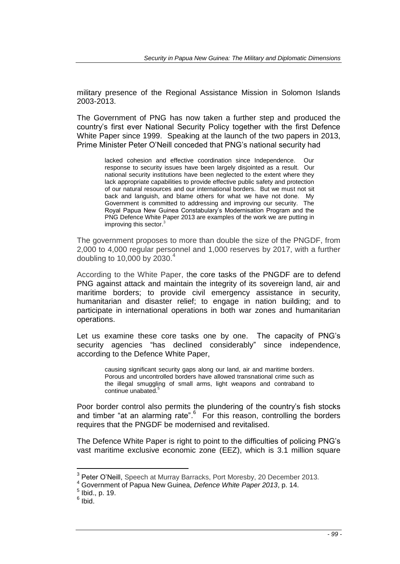military presence of the Regional Assistance Mission in Solomon Islands 2003-2013.

The Government of PNG has now taken a further step and produced the country's first ever National Security Policy together with the first Defence White Paper since 1999. Speaking at the launch of the two papers in 2013, Prime Minister Peter O'Neill conceded that PNG's national security had

> lacked cohesion and effective coordination since Independence. Our response to security issues have been largely disjointed as a result. Our national security institutions have been neglected to the extent where they lack appropriate capabilities to provide effective public safety and protection of our natural resources and our international borders. But we must not sit back and languish, and blame others for what we have not done. My Government is committed to addressing and improving our security. The Royal Papua New Guinea Constabulary's Modernisation Program and the PNG Defence White Paper 2013 are examples of the work we are putting in improving this sector.<sup>3</sup>

The government proposes to more than double the size of the PNGDF, from 2,000 to 4,000 regular personnel and 1,000 reserves by 2017, with a further doubling to 10,000 by 2030. $4$ 

According to the White Paper, the core tasks of the PNGDF are to defend PNG against attack and maintain the integrity of its sovereign land, air and maritime borders; to provide civil emergency assistance in security, humanitarian and disaster relief; to engage in nation building; and to participate in international operations in both war zones and humanitarian operations.

Let us examine these core tasks one by one. The capacity of PNG's security agencies "has declined considerably" since independence, according to the Defence White Paper,

> causing significant security gaps along our land, air and maritime borders. Porous and uncontrolled borders have allowed transnational crime such as the illegal smuggling of small arms, light weapons and contraband to continue unabated. 5

Poor border control also permits the plundering of the country's fish stocks and timber "at an alarming rate".<sup>6</sup> For this reason, controlling the borders requires that the PNGDF be modernised and revitalised.

The Defence White Paper is right to point to the difficulties of policing PNG's vast maritime exclusive economic zone (EEZ), which is 3.1 million square

<sup>&</sup>lt;sup>3</sup> Peter O'Neill, Speech at Murray Barracks, Port Moresby, 20 December 2013.

<sup>4</sup> Government of Papua New Guinea, *Defence White Paper 2013*, p. 14.

 $<sup>5</sup>$  Ibid., p. 19.</sup>

 $6$  Ibid.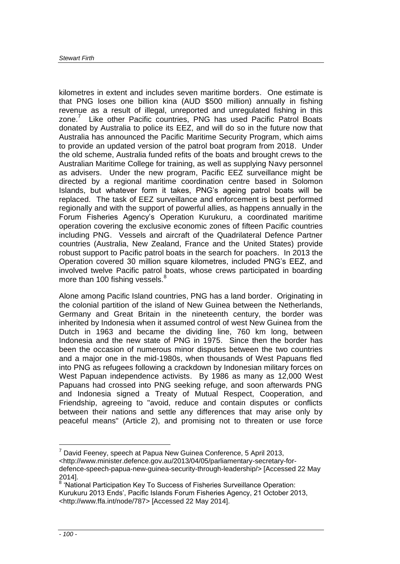kilometres in extent and includes seven maritime borders. One estimate is that PNG loses one billion kina (AUD \$500 million) annually in fishing revenue as a result of illegal, unreported and unregulated fishing in this zone.<sup>7</sup> Like other Pacific countries, PNG has used Pacific Patrol Boats donated by Australia to police its EEZ, and will do so in the future now that Australia has announced the Pacific Maritime Security Program, which aims to provide an updated version of the patrol boat program from 2018. Under the old scheme, Australia funded refits of the boats and brought crews to the Australian Maritime College for training, as well as supplying Navy personnel as advisers. Under the new program, Pacific EEZ surveillance might be directed by a regional maritime coordination centre based in Solomon Islands, but whatever form it takes, PNG's ageing patrol boats will be replaced. The task of EEZ surveillance and enforcement is best performed regionally and with the support of powerful allies, as happens annually in the Forum Fisheries Agency's Operation Kurukuru, a coordinated maritime operation covering the exclusive economic zones of fifteen Pacific countries including PNG. Vessels and aircraft of the Quadrilateral Defence Partner countries (Australia, New Zealand, France and the United States) provide robust support to Pacific patrol boats in the search for poachers. In 2013 the Operation covered 30 million square kilometres, included PNG's EEZ, and involved twelve Pacific patrol boats, whose crews participated in boarding more than 100 fishing vessels.<sup>8</sup>

Alone among Pacific Island countries, PNG has a land border. Originating in the colonial partition of the island of New Guinea between the Netherlands, Germany and Great Britain in the nineteenth century, the border was inherited by Indonesia when it assumed control of west New Guinea from the Dutch in 1963 and became the dividing line, 760 km long, between Indonesia and the new state of PNG in 1975. Since then the border has been the occasion of numerous minor disputes between the two countries and a major one in the mid-1980s, when thousands of West Papuans fled into PNG as refugees following a crackdown by Indonesian military forces on West Papuan independence activists. By 1986 as many as 12,000 West Papuans had crossed into PNG seeking refuge, and soon afterwards PNG and Indonesia signed a Treaty of Mutual Respect, Cooperation, and Friendship, agreeing to "avoid, reduce and contain disputes or conflicts between their nations and settle any differences that may arise only by peaceful means" (Article 2), and promising not to threaten or use force

 $7$  David Feeney, speech at Papua New Guinea Conference, 5 April 2013,

<http://www.minister.defence.gov.au/2013/04/05/parliamentary-secretary-for-

defence-speech-papua-new-guinea-security-through-leadership/> [Accessed 22 May 2014].

<sup>&</sup>lt;sup>8</sup> 'National Participation Key To Success of Fisheries Surveillance Operation: Kurukuru 2013 Ends', Pacific Islands Forum Fisheries Agency, 21 October 2013, <http://www.ffa.int/node/787> [Accessed 22 May 2014].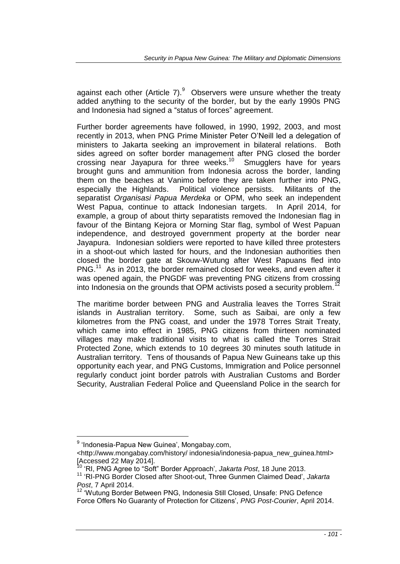against each other (Article 7). $^{9}$  Observers were unsure whether the treaty added anything to the security of the border, but by the early 1990s PNG and Indonesia had signed a "status of forces" agreement.

Further border agreements have followed, in 1990, 1992, 2003, and most recently in 2013, when PNG Prime Minister Peter O'Neill led a delegation of ministers to Jakarta seeking an improvement in bilateral relations. Both sides agreed on softer border management after PNG closed the border crossing near Jayapura for three weeks.<sup>10</sup> Smugglers have for years brought guns and ammunition from Indonesia across the border, landing them on the beaches at Vanimo before they are taken further into PNG, especially the Highlands. Political violence persists. Militants of the separatist *Organisasi Papua Merdeka* or OPM, who seek an independent West Papua, continue to attack Indonesian targets. In April 2014, for example, a group of about thirty separatists removed the Indonesian flag in favour of the Bintang Kejora or Morning Star flag, symbol of West Papuan independence, and destroyed government property at the border near Jayapura. Indonesian soldiers were reported to have killed three protesters in a shoot-out which lasted for hours, and the Indonesian authorities then closed the border gate at Skouw-Wutung after West Papuans fled into PNG.<sup>11</sup> As in 2013, the border remained closed for weeks, and even after it was opened again, the PNGDF was preventing PNG citizens from crossing into Indonesia on the grounds that OPM activists posed a security problem.<sup>1</sup>

The maritime border between PNG and Australia leaves the Torres Strait islands in Australian territory. Some, such as Saibai, are only a few kilometres from the PNG coast, and under the 1978 Torres Strait Treaty, which came into effect in 1985, PNG citizens from thirteen nominated villages may make traditional visits to what is called the Torres Strait Protected Zone, which extends to 10 degrees 30 minutes south latitude in Australian territory. Tens of thousands of Papua New Guineans take up this opportunity each year, and PNG Customs, Immigration and Police personnel regularly conduct joint border patrols with Australian Customs and Border Security, Australian Federal Police and Queensland Police in the search for

<sup>&</sup>lt;sup>9</sup> 'Indonesia-Papua New Guinea', Mongabay.com,

<sup>&</sup>lt;http://www.mongabay.com/history/ indonesia/indonesia-papua\_new\_guinea.html> [Accessed 22 May 2014].

<sup>10</sup> 'RI, PNG Agree to "Soft" Border Approach', *Jakarta Post*, 18 June 2013.

<sup>11</sup> 'RI-PNG Border Closed after Shoot-out, Three Gunmen Claimed Dead', *Jakarta Post*, 7 April 2014.

<sup>12</sup> 'Wutung Border Between PNG, Indonesia Still Closed, Unsafe: PNG Defence Force Offers No Guaranty of Protection for Citizens', *PNG Post-Courier*, April 2014.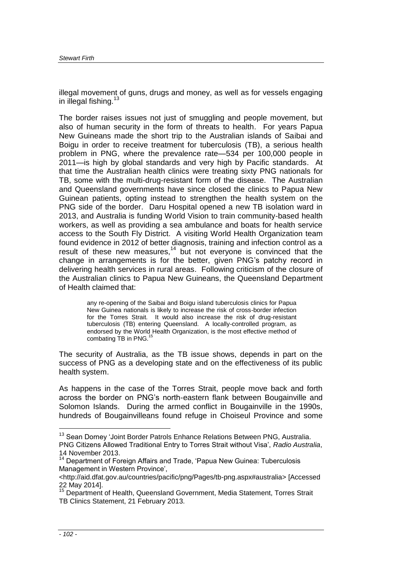illegal movement of guns, drugs and money, as well as for vessels engaging in illegal fishing.<sup>13</sup>

The border raises issues not just of smuggling and people movement, but also of human security in the form of threats to health. For years Papua New Guineans made the short trip to the Australian islands of Saibai and Boigu in order to receive treatment for tuberculosis (TB), a serious health problem in PNG, where the prevalence rate—534 per 100,000 people in 2011—is high by global standards and very high by Pacific standards. At that time the Australian health clinics were treating sixty PNG nationals for TB, some with the multi-drug-resistant form of the disease. The Australian and Queensland governments have since closed the clinics to Papua New Guinean patients, opting instead to strengthen the health system on the PNG side of the border. Daru Hospital opened a new TB isolation ward in 2013, and Australia is funding World Vision to train community-based health workers, as well as providing a sea ambulance and boats for health service access to the South Fly District. A visiting World Health Organization team found evidence in 2012 of better diagnosis, training and infection control as a result of these new measures, $14$  but not everyone is convinced that the change in arrangements is for the better, given PNG's patchy record in delivering health services in rural areas. Following criticism of the closure of the Australian clinics to Papua New Guineans, the Queensland Department of Health claimed that:

> any re-opening of the Saibai and Boigu island tuberculosis clinics for Papua New Guinea nationals is likely to increase the risk of cross-border infection for the Torres Strait. It would also increase the risk of drug-resistant tuberculosis (TB) entering Queensland. A locally-controlled program, as endorsed by the World Health Organization, is the most effective method of combating TB in PNG.<sup>15</sup>

The security of Australia, as the TB issue shows, depends in part on the success of PNG as a developing state and on the effectiveness of its public health system.

As happens in the case of the Torres Strait, people move back and forth across the border on PNG's north-eastern flank between Bougainville and Solomon Islands. During the armed conflict in Bougainville in the 1990s, hundreds of Bougainvilleans found refuge in Choiseul Province and some

<sup>&</sup>lt;sup>13</sup> Sean Dorney 'Joint Border Patrols Enhance Relations Between PNG, Australia.

PNG Citizens Allowed Traditional Entry to Torres Strait without Visa', *Radio Australia*, 14 November 2013.

<sup>&</sup>lt;sup>14</sup> Department of Foreign Affairs and Trade, 'Papua New Guinea: Tuberculosis Management in Western Province',

<sup>&</sup>lt;http://aid.dfat.gov.au/countries/pacific/png/Pages/tb-png.aspx#australia> [Accessed 22 May 2014].

<sup>&</sup>lt;sup>15</sup> Department of Health, Queensland Government, Media Statement, Torres Strait TB Clinics Statement, 21 February 2013.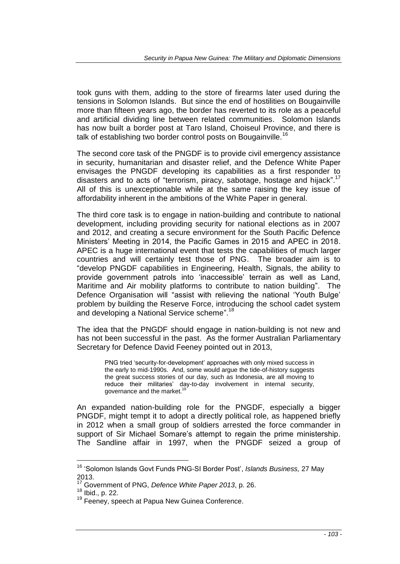took guns with them, adding to the store of firearms later used during the tensions in Solomon Islands. But since the end of hostilities on Bougainville more than fifteen years ago, the border has reverted to its role as a peaceful and artificial dividing line between related communities. Solomon Islands has now built a border post at Taro Island, Choiseul Province, and there is talk of establishing two border control posts on Bougainville.<sup>16</sup>

The second core task of the PNGDF is to provide civil emergency assistance in security, humanitarian and disaster relief, and the Defence White Paper envisages the PNGDF developing its capabilities as a first responder to disasters and to acts of "terrorism, piracy, sabotage, hostage and hijack".<sup>17</sup> All of this is unexceptionable while at the same raising the key issue of affordability inherent in the ambitions of the White Paper in general.

The third core task is to engage in nation-building and contribute to national development, including providing security for national elections as in 2007 and 2012, and creating a secure environment for the South Pacific Defence Ministers' Meeting in 2014, the Pacific Games in 2015 and APEC in 2018. APEC is a huge international event that tests the capabilities of much larger countries and will certainly test those of PNG. The broader aim is to "develop PNGDF capabilities in Engineering, Health, Signals, the ability to provide government patrols into 'inaccessible' terrain as well as Land, Maritime and Air mobility platforms to contribute to nation building". The Defence Organisation will "assist with relieving the national 'Youth Bulge' problem by building the Reserve Force, introducing the school cadet system and developing a National Service scheme".<sup>18</sup>

The idea that the PNGDF should engage in nation-building is not new and has not been successful in the past. As the former Australian Parliamentary Secretary for Defence David Feeney pointed out in 2013,

> PNG tried 'security-for-development' approaches with only mixed success in the early to mid-1990s. And, some would argue the tide-of-history suggests the great success stories of our day, such as Indonesia, are all moving to reduce their militaries' day-to-day involvement in internal security, governance and the market.<sup>1</sup>

An expanded nation-building role for the PNGDF, especially a bigger PNGDF, might tempt it to adopt a directly political role, as happened briefly in 2012 when a small group of soldiers arrested the force commander in support of Sir Michael Somare's attempt to regain the prime ministership. The Sandline affair in 1997, when the PNGDF seized a group of

<sup>16</sup> 'Solomon Islands Govt Funds PNG-SI Border Post', *Islands Business,* 27 May 2013.

<sup>&</sup>lt;sup>17</sup> Government of PNG, *Defence White Paper 2013*, p. 26.

<sup>18</sup> Ibid., p. 22.

<sup>&</sup>lt;sup>19</sup> Feeney, speech at Papua New Guinea Conference.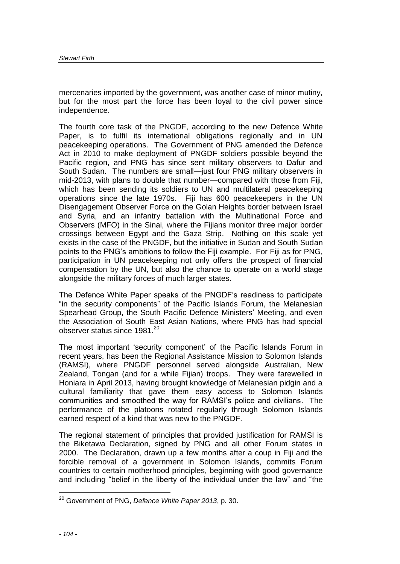mercenaries imported by the government, was another case of minor mutiny, but for the most part the force has been loyal to the civil power since independence.

The fourth core task of the PNGDF, according to the new Defence White Paper, is to fulfil its international obligations regionally and in UN peacekeeping operations. The Government of PNG amended the Defence Act in 2010 to make deployment of PNGDF soldiers possible beyond the Pacific region, and PNG has since sent military observers to Dafur and South Sudan. The numbers are small—just four PNG military observers in mid-2013, with plans to double that number—compared with those from Fiji, which has been sending its soldiers to UN and multilateral peacekeeping operations since the late 1970s. Fiji has 600 peacekeepers in the UN Disengagement Observer Force on the Golan Heights border between Israel and Syria, and an infantry battalion with the Multinational Force and Observers (MFO) in the Sinai, where the Fijians monitor three major border crossings between Egypt and the Gaza Strip. Nothing on this scale yet exists in the case of the PNGDF, but the initiative in Sudan and South Sudan points to the PNG's ambitions to follow the Fiji example. For Fiji as for PNG, participation in UN peacekeeping not only offers the prospect of financial compensation by the UN, but also the chance to operate on a world stage alongside the military forces of much larger states.

The Defence White Paper speaks of the PNGDF's readiness to participate "in the security components" of the Pacific Islands Forum, the Melanesian Spearhead Group, the South Pacific Defence Ministers' Meeting, and even the Association of South East Asian Nations, where PNG has had special observer status since  $1981.<sup>20</sup>$ 

The most important 'security component' of the Pacific Islands Forum in recent years, has been the Regional Assistance Mission to Solomon Islands (RAMSI), where PNGDF personnel served alongside Australian, New Zealand, Tongan (and for a while Fijian) troops. They were farewelled in Honiara in April 2013, having brought knowledge of Melanesian pidgin and a cultural familiarity that gave them easy access to Solomon Islands communities and smoothed the way for RAMSI's police and civilians. The performance of the platoons rotated regularly through Solomon Islands earned respect of a kind that was new to the PNGDF.

The regional statement of principles that provided justification for RAMSI is the Biketawa Declaration, signed by PNG and all other Forum states in 2000. The Declaration, drawn up a few months after a coup in Fiji and the forcible removal of a government in Solomon Islands, commits Forum countries to certain motherhood principles, beginning with good governance and including "belief in the liberty of the individual under the law" and "the

<sup>20</sup> Government of PNG, *Defence White Paper 2013*, p. 30.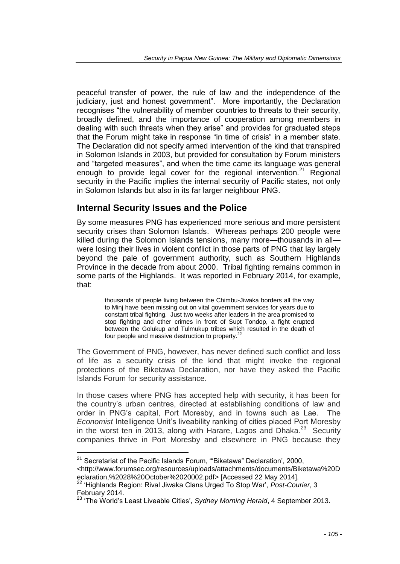peaceful transfer of power, the rule of law and the independence of the judiciary, just and honest government". More importantly, the Declaration recognises "the vulnerability of member countries to threats to their security, broadly defined, and the importance of cooperation among members in dealing with such threats when they arise" and provides for graduated steps that the Forum might take in response "in time of crisis" in a member state. The Declaration did not specify armed intervention of the kind that transpired in Solomon Islands in 2003, but provided for consultation by Forum ministers and "targeted measures", and when the time came its language was general enough to provide legal cover for the regional intervention.<sup>21</sup> Regional security in the Pacific implies the internal security of Pacific states, not only in Solomon Islands but also in its far larger neighbour PNG.

## **Internal Security Issues and the Police**

By some measures PNG has experienced more serious and more persistent security crises than Solomon Islands. Whereas perhaps 200 people were killed during the Solomon Islands tensions, many more—thousands in all were losing their lives in violent conflict in those parts of PNG that lay largely beyond the pale of government authority, such as Southern Highlands Province in the decade from about 2000. Tribal fighting remains common in some parts of the Highlands. It was reported in February 2014, for example, that:

> thousands of people living between the Chimbu-Jiwaka borders all the way to Minj have been missing out on vital government services for years due to constant tribal fighting. Just two weeks after leaders in the area promised to stop fighting and other crimes in front of Supt Tondop, a fight erupted between the Golukup and Tulmukup tribes which resulted in the death of four people and massive destruction to property.<sup>22</sup>

The Government of PNG, however, has never defined such conflict and loss of life as a security crisis of the kind that might invoke the regional protections of the Biketawa Declaration, nor have they asked the Pacific Islands Forum for security assistance.

In those cases where PNG has accepted help with security, it has been for the country's urban centres, directed at establishing conditions of law and order in PNG's capital, Port Moresby, and in towns such as Lae. The *Economist* Intelligence Unit's liveability ranking of cities placed Port Moresby in the worst ten in 2013, along with Harare, Lagos and Dhaka.<sup>23</sup> Security companies thrive in Port Moresby and elsewhere in PNG because they

<sup>&</sup>lt;sup>21</sup> Secretariat of the Pacific Islands Forum, "Biketawa" Declaration', 2000,

<sup>&</sup>lt;http://www.forumsec.org/resources/uploads/attachments/documents/Biketawa%20D eclaration,%2028%20October%2020002.pdf> [Accessed 22 May 2014].

<sup>22</sup> 'Highlands Region: Rival Jiwaka Clans Urged To Stop War', *Post-Courier*, 3 February 2014.

<sup>&</sup>lt;sup>23</sup> 'The World's Least Liveable Cities', *Sydney Morning Herald*, 4 September 2013.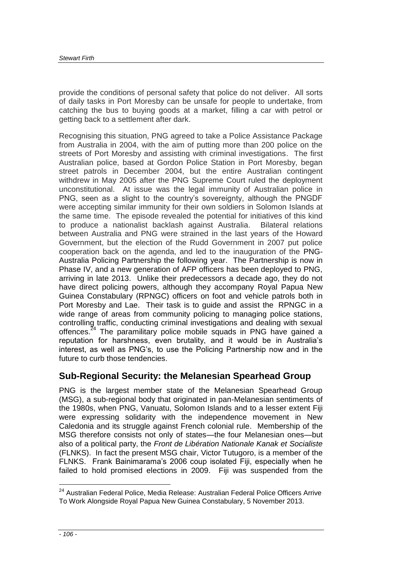provide the conditions of personal safety that police do not deliver. All sorts of daily tasks in Port Moresby can be unsafe for people to undertake, from catching the bus to buying goods at a market, filling a car with petrol or getting back to a settlement after dark.

Recognising this situation, PNG agreed to take a Police Assistance Package from Australia in 2004, with the aim of putting more than 200 police on the streets of Port Moresby and assisting with criminal investigations. The first Australian police, based at Gordon Police Station in Port Moresby, began street patrols in December 2004, but the entire Australian contingent withdrew in May 2005 after the PNG Supreme Court ruled the deployment unconstitutional. At issue was the legal immunity of Australian police in PNG, seen as a slight to the country's sovereignty, although the PNGDF were accepting similar immunity for their own soldiers in Solomon Islands at the same time. The episode revealed the potential for initiatives of this kind to produce a nationalist backlash against Australia. Bilateral relations between Australia and PNG were strained in the last years of the Howard Government, but the election of the Rudd Government in 2007 put police cooperation back on the agenda, and led to the inauguration of the PNG-Australia Policing Partnership the following year. The Partnership is now in Phase IV, and a new generation of AFP officers has been deployed to PNG, arriving in late 2013. Unlike their predecessors a decade ago, they do not have direct policing powers, although they accompany Royal Papua New Guinea Constabulary (RPNGC) officers on foot and vehicle patrols both in Port Moresby and Lae. Their task is to guide and assist the RPNGC in a wide range of areas from community policing to managing police stations, controlling traffic, conducting criminal investigations and dealing with sexual offences.<sup>24</sup> The paramilitary police mobile squads in PNG have gained a reputation for harshness, even brutality, and it would be in Australia's interest, as well as PNG's, to use the Policing Partnership now and in the future to curb those tendencies.

## **Sub-Regional Security: the Melanesian Spearhead Group**

PNG is the largest member state of the Melanesian Spearhead Group (MSG), a sub-regional body that originated in pan-Melanesian sentiments of the 1980s, when PNG, Vanuatu, Solomon Islands and to a lesser extent Fiji were expressing solidarity with the independence movement in New Caledonia and its struggle against French colonial rule. Membership of the MSG therefore consists not only of states—the four Melanesian ones—but also of a political party, the *Front de Libération Nationale Kanak et Socialiste* (FLNKS). In fact the present MSG chair, Victor Tutugoro, is a member of the FLNKS. Frank Bainimarama's 2006 coup isolated Fiji, especially when he failed to hold promised elections in 2009. Fiji was suspended from the

<sup>&</sup>lt;sup>24</sup> Australian Federal Police, Media Release: Australian Federal Police Officers Arrive To Work Alongside Royal Papua New Guinea Constabulary, 5 November 2013.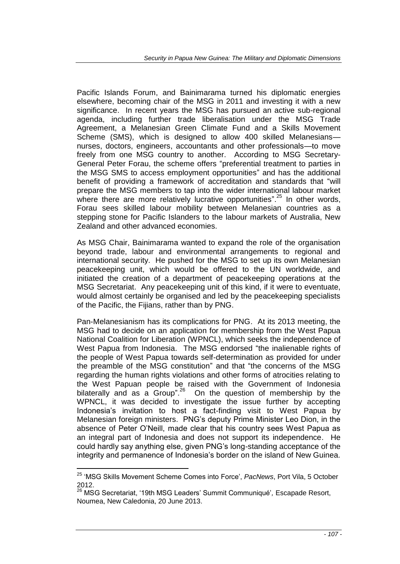Pacific Islands Forum, and Bainimarama turned his diplomatic energies elsewhere, becoming chair of the MSG in 2011 and investing it with a new significance. In recent years the MSG has pursued an active sub-regional agenda, including further trade liberalisation under the MSG Trade Agreement, a Melanesian Green Climate Fund and a Skills Movement Scheme (SMS), which is designed to allow 400 skilled Melanesians nurses, doctors, engineers, accountants and other professionals—to move freely from one MSG country to another. According to MSG Secretary-General Peter Forau, the scheme offers "preferential treatment to parties in the MSG SMS to access employment opportunities" and has the additional benefit of providing a framework of accreditation and standards that "will prepare the MSG members to tap into the wider international labour market where there are more relatively lucrative opportunities".<sup>25</sup> In other words, Forau sees skilled labour mobility between Melanesian countries as a stepping stone for Pacific Islanders to the labour markets of Australia, New Zealand and other advanced economies.

As MSG Chair, Bainimarama wanted to expand the role of the organisation beyond trade, labour and environmental arrangements to regional and international security. He pushed for the MSG to set up its own Melanesian peacekeeping unit, which would be offered to the UN worldwide, and initiated the creation of a department of peacekeeping operations at the MSG Secretariat. Any peacekeeping unit of this kind, if it were to eventuate, would almost certainly be organised and led by the peacekeeping specialists of the Pacific, the Fijians, rather than by PNG.

Pan-Melanesianism has its complications for PNG. At its 2013 meeting, the MSG had to decide on an application for membership from the West Papua National Coalition for Liberation (WPNCL), which seeks the independence of West Papua from Indonesia. The MSG endorsed "the inalienable rights of the people of West Papua towards self-determination as provided for under the preamble of the MSG constitution" and that "the concerns of the MSG regarding the human rights violations and other forms of atrocities relating to the West Papuan people be raised with the Government of Indonesia bilaterally and as a Group".<sup>26</sup> On the question of membership by the WPNCL, it was decided to investigate the issue further by accepting Indonesia's invitation to host a fact-finding visit to West Papua by Melanesian foreign ministers. PNG's deputy Prime Minister Leo Dion, in the absence of Peter O'Neill, made clear that his country sees West Papua as an integral part of Indonesia and does not support its independence. He could hardly say anything else, given PNG's long-standing acceptance of the integrity and permanence of Indonesia's border on the island of New Guinea.

<sup>25</sup> 'MSG Skills Movement Scheme Comes into Force', *PacNews*, Port Vila, 5 October 2012.

<sup>26</sup> MSG Secretariat, '19th MSG Leaders' Summit Communiqué'*,* Escapade Resort, Noumea, New Caledonia, 20 June 2013.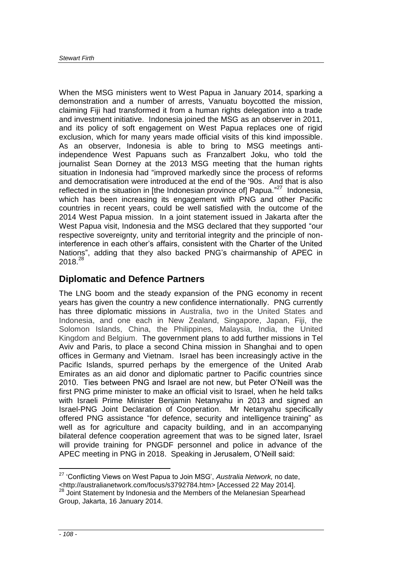When the MSG ministers went to West Papua in January 2014, sparking a demonstration and a number of arrests, Vanuatu boycotted the mission, claiming Fiji had transformed it from a human rights delegation into a trade and investment initiative. Indonesia joined the MSG as an observer in 2011, and its policy of soft engagement on West Papua replaces one of rigid exclusion, which for many years made official visits of this kind impossible. As an observer, Indonesia is able to bring to MSG meetings antiindependence West Papuans such as Franzalbert Joku, who told the journalist Sean Dorney at the 2013 MSG meeting that the human rights situation in Indonesia had "improved markedly since the process of reforms and democratisation were introduced at the end of the '90s. And that is also reflected in the situation in [the Indonesian province of] Papua."<sup>27</sup> Indonesia, which has been increasing its engagement with PNG and other Pacific countries in recent years, could be well satisfied with the outcome of the 2014 West Papua mission. In a joint statement issued in Jakarta after the West Papua visit, Indonesia and the MSG declared that they supported "our respective sovereignty, unity and territorial integrity and the principle of noninterference in each other's affairs, consistent with the Charter of the United Nations", adding that they also backed PNG's chairmanship of APEC in 2018.<sup>28</sup>

#### **Diplomatic and Defence Partners**

The LNG boom and the steady expansion of the PNG economy in recent years has given the country a new confidence internationally. PNG currently has three diplomatic missions in Australia, two in the United States and Indonesia, and one each in New Zealand, Singapore, Japan, Fiji, the Solomon Islands, China, the Philippines, Malaysia, India, the United Kingdom and Belgium. The government plans to add further missions in Tel Aviv and Paris, to place a second China mission in Shanghai and to open offices in Germany and Vietnam. Israel has been increasingly active in the Pacific Islands, spurred perhaps by the emergence of the United Arab Emirates as an aid donor and diplomatic partner to Pacific countries since 2010. Ties between PNG and Israel are not new, but Peter O'Neill was the first PNG prime minister to make an official visit to Israel, when he held talks with Israeli Prime Minister Benjamin Netanyahu in 2013 and signed an Israel-PNG Joint Declaration of Cooperation. Mr Netanyahu specifically offered PNG assistance "for defence, security and intelligence training" as well as for agriculture and capacity building, and in an accompanying bilateral defence cooperation agreement that was to be signed later, Israel will provide training for PNGDF personnel and police in advance of the APEC meeting in PNG in 2018. Speaking in Jerusalem, O'Neill said:

<sup>27</sup> 'Conflicting Views on West Papua to Join MSG', *Australia Network,* no date, <http://australianetwork.com/focus/s3792784.htm> [Accessed 22 May 2014].  $28$  Joint Statement by Indonesia and the Members of the Melanesian Spearhead

Group, Jakarta, 16 January 2014.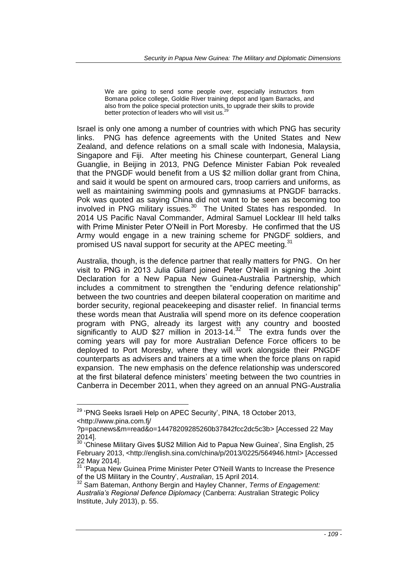We are going to send some people over, especially instructors from Bomana police college, Goldie River training depot and Igam Barracks, and also from the police special protection units, to upgrade their skills to provide<br>better protection of leaders who will visit us.<sup>29</sup>

Israel is only one among a number of countries with which PNG has security links. PNG has defence agreements with the United States and New Zealand, and defence relations on a small scale with Indonesia, Malaysia, Singapore and Fiji. After meeting his Chinese counterpart, General Liang Guanglie, in Beijing in 2013, PNG Defence Minister Fabian Pok revealed that the PNGDF would benefit from a US \$2 million dollar grant from China, and said it would be spent on armoured cars, troop carriers and uniforms, as well as maintaining swimming pools and gymnasiums at PNGDF barracks. Pok was quoted as saying China did not want to be seen as becoming too involved in PNG military issues.<sup>30</sup> The United States has responded. In 2014 US Pacific Naval Commander, Admiral Samuel Locklear III held talks with Prime Minister Peter O'Neill in Port Moresby. He confirmed that the US Army would engage in a new training scheme for PNGDF soldiers, and promised US naval support for security at the APEC meeting.<sup>31</sup>

Australia, though, is the defence partner that really matters for PNG. On her visit to PNG in 2013 Julia Gillard joined Peter O'Neill in signing the Joint Declaration for a New Papua New Guinea-Australia Partnership, which includes a commitment to strengthen the "enduring defence relationship" between the two countries and deepen bilateral cooperation on maritime and border security, regional peacekeeping and disaster relief. In financial terms these words mean that Australia will spend more on its defence cooperation program with PNG, already its largest with any country and boosted significantly to AUD \$27 million in  $2013-14$ <sup>32</sup> The extra funds over the coming years will pay for more Australian Defence Force officers to be deployed to Port Moresby, where they will work alongside their PNGDF counterparts as advisers and trainers at a time when the force plans on rapid expansion. The new emphasis on the defence relationship was underscored at the first bilateral defence ministers' meeting between the two countries in Canberra in December 2011, when they agreed on an annual PNG-Australia

<sup>&</sup>lt;sup>29</sup> 'PNG Seeks Israeli Help on APEC Security', PINA, 18 October 2013, <http://www.pina.com.fj/

<sup>?</sup>p=pacnews&m=read&o=14478209285260b37842fcc2dc5c3b> [Accessed 22 May 2014].

<sup>&</sup>lt;sup>30</sup> 'Chinese Military Gives \$US2 Million Aid to Papua New Guinea', Sina English, 25 February 2013, <http://english.sina.com/china/p/2013/0225/564946.html> [Accessed 22 May 2014].

<sup>&</sup>lt;sup>31</sup> 'Papua New Guinea Prime Minister Peter O'Neill Wants to Increase the Presence of the US Military in the Country', *Australian*, 15 April 2014.

<sup>32</sup> Sam Bateman, Anthony Bergin and Hayley Channer, *Terms of Engagement: Australia's Regional Defence Diplomacy* (Canberra: Australian Strategic Policy Institute, July 2013), p. 55.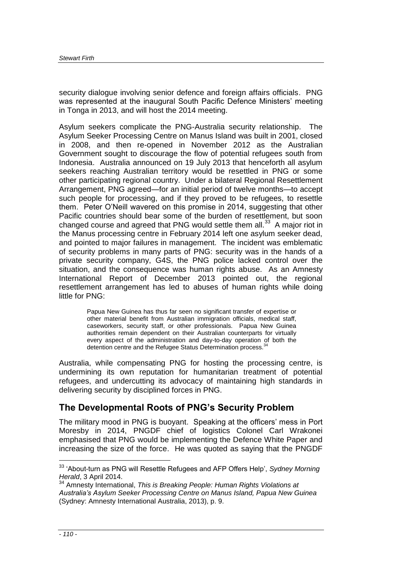security dialogue involving senior defence and foreign affairs officials. PNG was represented at the inaugural South Pacific Defence Ministers' meeting in Tonga in 2013, and will host the 2014 meeting.

Asylum seekers complicate the PNG-Australia security relationship. The Asylum Seeker Processing Centre on Manus Island was built in 2001, closed in 2008, and then re-opened in November 2012 as the Australian Government sought to discourage the flow of potential refugees south from Indonesia. Australia announced on 19 July 2013 that henceforth all asylum seekers reaching Australian territory would be resettled in PNG or some other participating regional country. Under a bilateral Regional Resettlement Arrangement, PNG agreed—for an initial period of twelve months—to accept such people for processing, and if they proved to be refugees, to resettle them. Peter O'Neill wavered on this promise in 2014, suggesting that other Pacific countries should bear some of the burden of resettlement, but soon changed course and agreed that PNG would settle them all.<sup>33</sup> A major riot in the Manus processing centre in February 2014 left one asylum seeker dead, and pointed to major failures in management. The incident was emblematic of security problems in many parts of PNG: security was in the hands of a private security company, G4S, the PNG police lacked control over the situation, and the consequence was human rights abuse. As an Amnesty International Report of December 2013 pointed out, the regional resettlement arrangement has led to abuses of human rights while doing little for PNG:

> Papua New Guinea has thus far seen no significant transfer of expertise or other material benefit from Australian immigration officials, medical staff, caseworkers, security staff, or other professionals. Papua New Guinea authorities remain dependent on their Australian counterparts for virtually every aspect of the administration and day-to-day operation of both the detention centre and the Refugee Status Determination process.<sup>3</sup>

Australia, while compensating PNG for hosting the processing centre, is undermining its own reputation for humanitarian treatment of potential refugees, and undercutting its advocacy of maintaining high standards in delivering security by disciplined forces in PNG.

## **The Developmental Roots of PNG's Security Problem**

The military mood in PNG is buoyant. Speaking at the officers' mess in Port Moresby in 2014, PNGDF chief of logistics Colonel Carl Wrakonei emphasised that PNG would be implementing the Defence White Paper and increasing the size of the force. He was quoted as saying that the PNGDF

<sup>33</sup> 'About-turn as PNG will Resettle Refugees and AFP Offers Help', *Sydney Morning Herald*, 3 April 2014.

<sup>34</sup> Amnesty International, *This is Breaking People: Human Rights Violations at Australia's Asylum Seeker Processing Centre on Manus Island, Papua New Guinea* (Sydney: Amnesty International Australia, 2013), p. 9.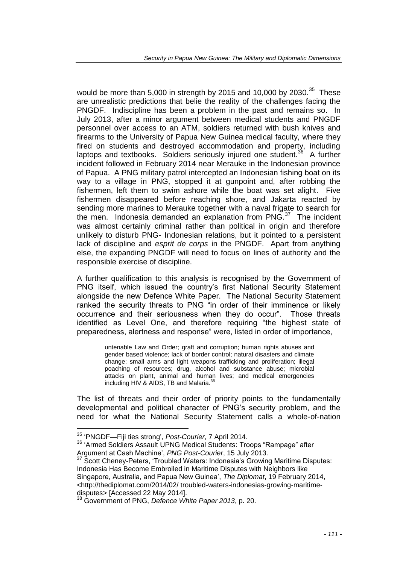would be more than 5,000 in strength by 2015 and 10,000 by 2030.<sup>35</sup> These are unrealistic predictions that belie the reality of the challenges facing the PNGDF. Indiscipline has been a problem in the past and remains so. In July 2013, after a minor argument between medical students and PNGDF personnel over access to an ATM, soldiers returned with bush knives and firearms to the University of Papua New Guinea medical faculty, where they fired on students and destroyed accommodation and property, including laptops and textbooks. Soldiers seriously injured one student.<sup>36</sup> A further incident followed in February 2014 near Merauke in the Indonesian province of Papua. A PNG military patrol intercepted an Indonesian fishing boat on its way to a village in PNG, stopped it at gunpoint and, after robbing the fishermen, left them to swim ashore while the boat was set alight. Five fishermen disappeared before reaching shore, and Jakarta reacted by sending more marines to Merauke together with a naval frigate to search for the men. Indonesia demanded an explanation from  $PNG.<sup>37</sup>$  The incident was almost certainly criminal rather than political in origin and therefore unlikely to disturb PNG- Indonesian relations, but it pointed to a persistent lack of discipline and *esprit de corps* in the PNGDF. Apart from anything else, the expanding PNGDF will need to focus on lines of authority and the responsible exercise of discipline.

A further qualification to this analysis is recognised by the Government of PNG itself, which issued the country's first National Security Statement alongside the new Defence White Paper. The National Security Statement ranked the security threats to PNG "in order of their imminence or likely occurrence and their seriousness when they do occur". Those threats identified as Level One, and therefore requiring "the highest state of preparedness, alertness and response" were, listed in order of importance,

> untenable Law and Order; graft and corruption; human rights abuses and gender based violence; lack of border control; natural disasters and climate change; small arms and light weapons trafficking and proliferation; illegal poaching of resources; drug, alcohol and substance abuse; microbial attacks on plant, animal and human lives; and medical emergencies including HIV & AIDS, TB and Malaria.<sup>38</sup>

The list of threats and their order of priority points to the fundamentally developmental and political character of PNG's security problem, and the need for what the National Security Statement calls a whole-of-nation

<sup>35</sup> 'PNGDF—Fiji ties strong', *Post-Courier*, 7 April 2014.

<sup>&</sup>lt;sup>36</sup> 'Armed Soldiers Assault UPNG Medical Students: Troops "Rampage" after Argument at Cash Machine', *PNG Post-Courier*, 15 July 2013.

<sup>37</sup> Scott Cheney-Peters, 'Troubled Waters: Indonesia's Growing Maritime Disputes: Indonesia Has Become Embroiled in Maritime Disputes with Neighbors like Singapore, Australia, and Papua New Guinea', *The Diplomat*, 19 February 2014, <http://thediplomat.com/2014/02/ troubled-waters-indonesias-growing-maritimedisputes> [Accessed 22 May 2014].

<sup>38</sup> Government of PNG, *Defence White Paper 2013*, p. 20.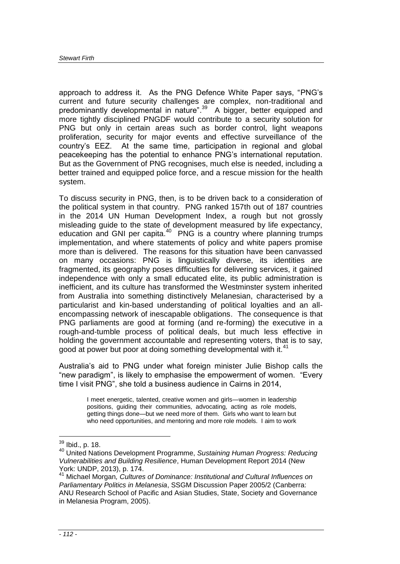approach to address it. As the PNG Defence White Paper says, "PNG's current and future security challenges are complex, non-traditional and predominantly developmental in nature".<sup>39</sup> A bigger, better equipped and more tightly disciplined PNGDF would contribute to a security solution for PNG but only in certain areas such as border control, light weapons proliferation, security for major events and effective surveillance of the country's EEZ. At the same time, participation in regional and global peacekeeping has the potential to enhance PNG's international reputation. But as the Government of PNG recognises, much else is needed, including a better trained and equipped police force, and a rescue mission for the health system.

To discuss security in PNG, then, is to be driven back to a consideration of the political system in that country. PNG ranked 157th out of 187 countries in the 2014 UN Human Development Index, a rough but not grossly misleading guide to the state of development measured by life expectancy, education and GNI per capita.<sup>40</sup> PNG is a country where planning trumps implementation, and where statements of policy and white papers promise more than is delivered. The reasons for this situation have been canvassed on many occasions: PNG is linguistically diverse, its identities are fragmented, its geography poses difficulties for delivering services, it gained independence with only a small educated elite, its public administration is inefficient, and its culture has transformed the Westminster system inherited from Australia into something distinctively Melanesian, characterised by a particularist and kin-based understanding of political loyalties and an allencompassing network of inescapable obligations. The consequence is that PNG parliaments are good at forming (and re-forming) the executive in a rough-and-tumble process of political deals, but much less effective in holding the government accountable and representing voters, that is to say, good at power but poor at doing something developmental with it.<sup>41</sup>

Australia's aid to PNG under what foreign minister Julie Bishop calls the "new paradigm", is likely to emphasise the empowerment of women. "Every time I visit PNG", she told a business audience in Cairns in 2014,

> I meet energetic, talented, creative women and girls—women in leadership positions, guiding their communities, advocating, acting as role models, getting things done—but we need more of them. Girls who want to learn but who need opportunities, and mentoring and more role models. I aim to work

<sup>&</sup>lt;sup>39</sup> Ibid., p. 18.

<sup>40</sup> United Nations Development Programme, *Sustaining Human Progress: Reducing Vulnerabilities and Building Resilience*, Human Development Report 2014 (New York: UNDP, 2013), p. 174.

<sup>41</sup> Michael Morgan*, Cultures of Dominance: Institutional and Cultural Influences on Parliamentary Politics in Melanesia*, SSGM Discussion Paper 2005/2 (Canberra: ANU Research School of Pacific and Asian Studies, State, Society and Governance in Melanesia Program, 2005).